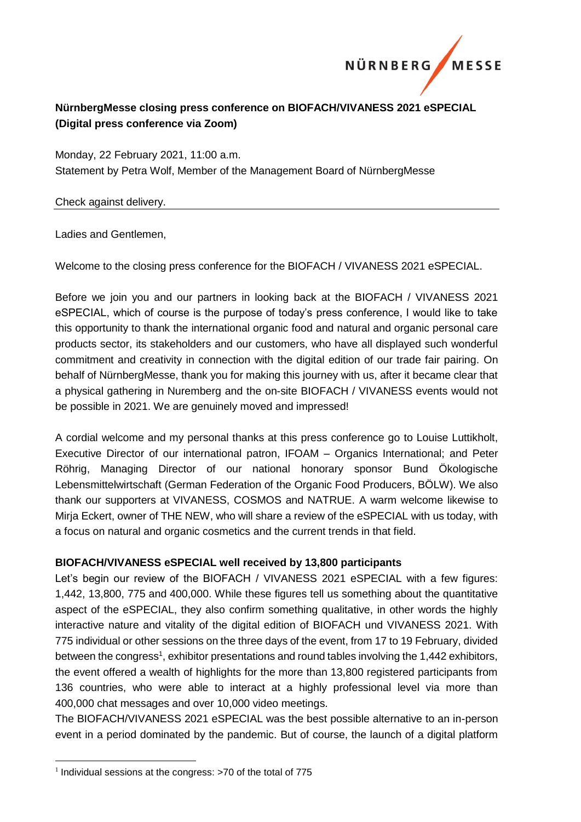

## **NürnbergMesse closing press conference on BIOFACH/VIVANESS 2021 eSPECIAL (Digital press conference via Zoom)**

Monday, 22 February 2021, 11:00 a.m. Statement by Petra Wolf, Member of the Management Board of NürnbergMesse

## Check against delivery.

Ladies and Gentlemen,

Welcome to the closing press conference for the BIOFACH / VIVANESS 2021 eSPECIAL.

Before we join you and our partners in looking back at the BIOFACH / VIVANESS 2021 eSPECIAL, which of course is the purpose of today's press conference, I would like to take this opportunity to thank the international organic food and natural and organic personal care products sector, its stakeholders and our customers, who have all displayed such wonderful commitment and creativity in connection with the digital edition of our trade fair pairing. On behalf of NürnbergMesse, thank you for making this journey with us, after it became clear that a physical gathering in Nuremberg and the on-site BIOFACH / VIVANESS events would not be possible in 2021. We are genuinely moved and impressed!

A cordial welcome and my personal thanks at this press conference go to Louise Luttikholt, Executive Director of our international patron, IFOAM – Organics International; and Peter Röhrig, Managing Director of our national honorary sponsor Bund Ökologische Lebensmittelwirtschaft (German Federation of the Organic Food Producers, BÖLW). We also thank our supporters at VIVANESS, COSMOS and NATRUE. A warm welcome likewise to Mirja Eckert, owner of THE NEW, who will share a review of the eSPECIAL with us today, with a focus on natural and organic cosmetics and the current trends in that field.

## **BIOFACH/VIVANESS eSPECIAL well received by 13,800 participants**

Let's begin our review of the BIOFACH / VIVANESS 2021 eSPECIAL with a few figures: 1,442, 13,800, 775 and 400,000. While these figures tell us something about the quantitative aspect of the eSPECIAL, they also confirm something qualitative, in other words the highly interactive nature and vitality of the digital edition of BIOFACH und VIVANESS 2021. With 775 individual or other sessions on the three days of the event, from 17 to 19 February, divided between the congress<sup>1</sup>, exhibitor presentations and round tables involving the 1,442 exhibitors, the event offered a wealth of highlights for the more than 13,800 registered participants from 136 countries, who were able to interact at a highly professional level via more than 400,000 chat messages and over 10,000 video meetings.

The BIOFACH/VIVANESS 2021 eSPECIAL was the best possible alternative to an in-person event in a period dominated by the pandemic. But of course, the launch of a digital platform

<u>.</u>

<sup>&</sup>lt;sup>1</sup> Individual sessions at the congress: >70 of the total of 775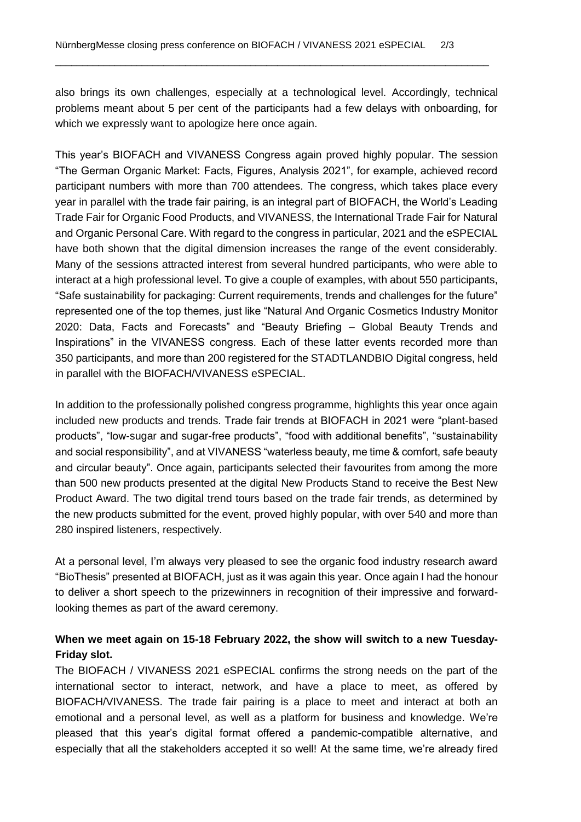also brings its own challenges, especially at a technological level. Accordingly, technical problems meant about 5 per cent of the participants had a few delays with onboarding, for which we expressly want to apologize here once again.

\_\_\_\_\_\_\_\_\_\_\_\_\_\_\_\_\_\_\_\_\_\_\_\_\_\_\_\_\_\_\_\_\_\_\_\_\_\_\_\_\_\_\_\_\_\_\_\_\_\_\_\_\_\_\_\_\_\_\_\_\_\_\_\_\_\_\_\_\_\_\_\_\_\_\_\_\_\_\_\_

This year's BIOFACH and VIVANESS Congress again proved highly popular. The session "The German Organic Market: Facts, Figures, Analysis 2021", for example, achieved record participant numbers with more than 700 attendees. The congress, which takes place every year in parallel with the trade fair pairing, is an integral part of BIOFACH, the World's Leading Trade Fair for Organic Food Products, and VIVANESS, the International Trade Fair for Natural and Organic Personal Care. With regard to the congress in particular, 2021 and the eSPECIAL have both shown that the digital dimension increases the range of the event considerably. Many of the sessions attracted interest from several hundred participants, who were able to interact at a high professional level. To give a couple of examples, with about 550 participants, "Safe sustainability for packaging: Current requirements, trends and challenges for the future" represented one of the top themes, just like "Natural And Organic Cosmetics Industry Monitor 2020: Data, Facts and Forecasts" and "Beauty Briefing – Global Beauty Trends and Inspirations" in the VIVANESS congress. Each of these latter events recorded more than 350 participants, and more than 200 registered for the STADTLANDBIO Digital congress, held in parallel with the BIOFACH/VIVANESS eSPECIAL.

In addition to the professionally polished congress programme, highlights this year once again included new products and trends. Trade fair trends at BIOFACH in 2021 were "plant-based products", "low-sugar and sugar-free products", "food with additional benefits", "sustainability and social responsibility", and at VIVANESS "waterless beauty, me time & comfort, safe beauty and circular beauty". Once again, participants selected their favourites from among the more than 500 new products presented at the digital New Products Stand to receive the Best New Product Award. The two digital trend tours based on the trade fair trends, as determined by the new products submitted for the event, proved highly popular, with over 540 and more than 280 inspired listeners, respectively.

At a personal level, I'm always very pleased to see the organic food industry research award "BioThesis" presented at BIOFACH, just as it was again this year. Once again I had the honour to deliver a short speech to the prizewinners in recognition of their impressive and forwardlooking themes as part of the award ceremony.

## **When we meet again on 15-18 February 2022, the show will switch to a new Tuesday-Friday slot.**

The BIOFACH / VIVANESS 2021 eSPECIAL confirms the strong needs on the part of the international sector to interact, network, and have a place to meet, as offered by BIOFACH/VIVANESS. The trade fair pairing is a place to meet and interact at both an emotional and a personal level, as well as a platform for business and knowledge. We're pleased that this year's digital format offered a pandemic-compatible alternative, and especially that all the stakeholders accepted it so well! At the same time, we're already fired